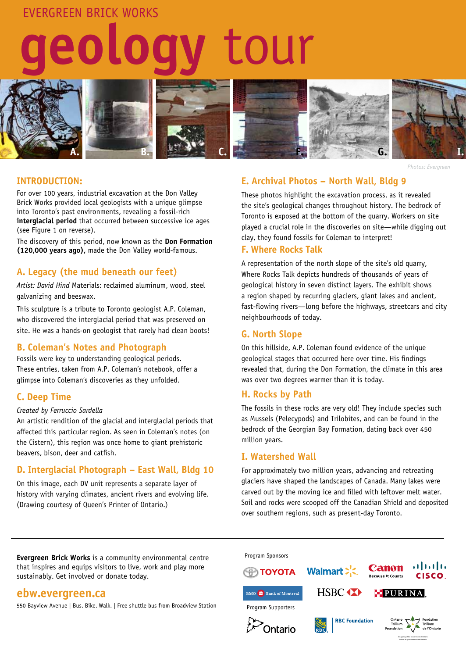# evergreen brick works

# **geology** tour



#### *Photos: Evergreen*

#### **INTRODUCTION:**

For over 100 years, industrial excavation at the Don Valley Brick Works provided local geologists with a unique glimpse into Toronto's past environments, revealing a fossil-rich **interglacial period** that occurred between successive ice ages (see Figure 1 on reverse).

The discovery of this period, now known as the **Don Formation (120,000 years ago),** made the Don Valley world-famous.

## **A. Legacy (the mud beneath our feet)**

*Artist: David Hind* Materials: reclaimed aluminum, wood, steel galvanizing and beeswax.

This sculpture is a tribute to Toronto geologist A.P. Coleman, who discovered the interglacial period that was preserved on site. He was a hands-on geologist that rarely had clean boots!

## **B. Coleman's Notes and Photograph**

Fossils were key to understanding geological periods. These entries, taken from A.P. Coleman's notebook, offer a glimpse into Coleman's discoveries as they unfolded.

## **C. Deep Time**

#### *Created by Ferruccio Sardella*

An artistic rendition of the glacial and interglacial periods that affected this particular region. As seen in Coleman's notes (on the Cistern), this region was once home to giant prehistoric beavers, bison, deer and catfish.

# **D. Interglacial Photograph – East Wall, Bldg 10**

On this image, each DV unit represents a separate layer of history with varying climates, ancient rivers and evolving life. (Drawing courtesy of Queen's Printer of Ontario.)

# **E. Archival Photos – North Wall, Bldg 9**

These photos highlight the excavation process, as it revealed the site's geological changes throughout history. The bedrock of Toronto is exposed at the bottom of the quarry. Workers on site played a crucial role in the discoveries on site—while digging out clay, they found fossils for Coleman to interpret!

#### **F. Where Rocks Talk**

A representation of the north slope of the site's old quarry, Where Rocks Talk depicts hundreds of thousands of years of geological history in seven distinct layers. The exhibit shows a region shaped by recurring glaciers, giant lakes and ancient, fast-flowing rivers—long before the highways, streetcars and city neighbourhoods of today.

## **G. North Slope**

On this hillside, A.P. Coleman found evidence of the unique geological stages that occurred here over time. His findings revealed that, during the Don Formation, the climate in this area was over two degrees warmer than it is today.

## **H. Rocks by Path**

The fossils in these rocks are very old! They include species such as Mussels (Pelecypods) and Trilobites, and can be found in the bedrock of the Georgian Bay Formation, dating back over 450 million years.

#### **I. Watershed Wall**

For approximately two million years, advancing and retreating glaciers have shaped the landscapes of Canada. Many lakes were carved out by the moving ice and filled with leftover melt water. Soil and rocks were scooped off the Canadian Shield and deposited over southern regions, such as present-day Toronto.

**Evergreen Brick Works** is a community environmental centre that inspires and equips visitors to live, work and play more sustainably. Get involved or donate today.

# **ebw.evergreen.ca**

550 Bayview Avenue | Bus. Bike. Walk. | Free shuttle bus from Broadview Station

Program Sponsors



Relève du gouvernement de l'Ontario.